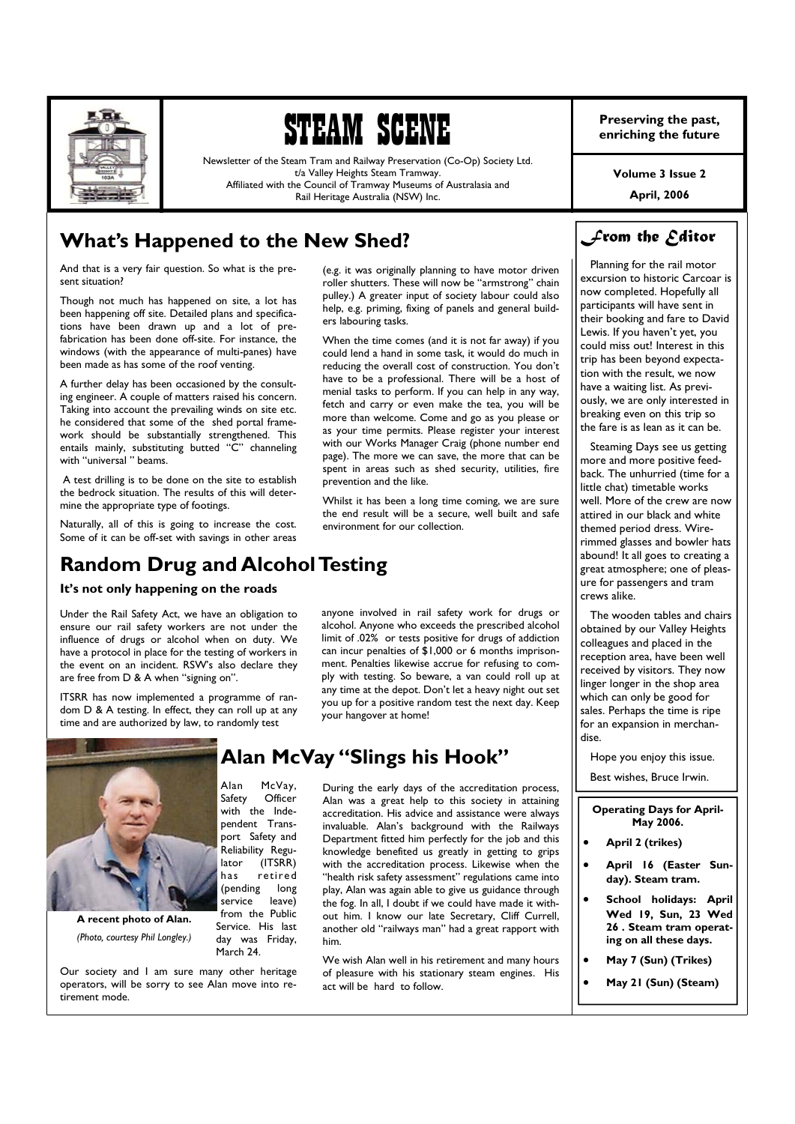

# STEAM SCENE

Newsletter of the Steam Tram and Railway Preservation (Co-Op) Society Ltd. t/a Valley Heights Steam Tramway. Affiliated with the Council of Tramway Museums of Australasia and Rail Heritage Australia (NSW) Inc.

# **What's Happened to the New Shed?**

And that is a very fair question. So what is the present situation?

Though not much has happened on site, a lot has been happening off site. Detailed plans and specifications have been drawn up and a lot of prefabrication has been done off-site. For instance, the windows (with the appearance of multi-panes) have been made as has some of the roof venting.

A further delay has been occasioned by the consulting engineer. A couple of matters raised his concern. Taking into account the prevailing winds on site etc. he considered that some of the shed portal framework should be substantially strengthened. This entails mainly, substituting butted "C" channeling with "universal" beams.

 A test drilling is to be done on the site to establish the bedrock situation. The results of this will determine the appropriate type of footings.

Naturally, all of this is going to increase the cost. Some of it can be off-set with savings in other areas

# **Random Drug and Alcohol Testing**

### **It's not only happening on the roads**

Under the Rail Safety Act, we have an obligation to ensure our rail safety workers are not under the influence of drugs or alcohol when on duty. We have a protocol in place for the testing of workers in the event on an incident. RSW's also declare they are free from D & A when "signing on".

ITSRR has now implemented a programme of random D & A testing. In effect, they can roll up at any time and are authorized by law, to randomly test



**A recent photo of Alan.**  *(Photo, courtesy Phil Longley.)* 

Our society and I am sure many other heritage operators, will be sorry to see Alan move into retirement mode.

Service. His last day was Friday, March 24.

(e.g. it was originally planning to have motor driven roller shutters. These will now be "armstrong" chain pulley.) A greater input of society labour could also help, e.g. priming, fixing of panels and general builders labouring tasks.

When the time comes (and it is not far away) if you could lend a hand in some task, it would do much in reducing the overall cost of construction. You don't have to be a professional. There will be a host of menial tasks to perform. If you can help in any way, fetch and carry or even make the tea, you will be more than welcome. Come and go as you please or as your time permits. Please register your interest with our Works Manager Craig (phone number end page). The more we can save, the more that can be spent in areas such as shed security, utilities, fire prevention and the like.

Whilst it has been a long time coming, we are sure the end result will be a secure, well built and safe environment for our collection.

anyone involved in rail safety work for drugs or alcohol. Anyone who exceeds the prescribed alcohol limit of .02% or tests positive for drugs of addiction can incur penalties of \$1,000 or 6 months imprisonment. Penalties likewise accrue for refusing to comply with testing. So beware, a van could roll up at any time at the depot. Don't let a heavy night out set you up for a positive random test the next day. Keep your hangover at home!

## **Alan McVay "Slings his Hook"**

During the early days of the accreditation process, Alan was a great help to this society in attaining accreditation. His advice and assistance were always invaluable. Alan's background with the Railways Department fitted him perfectly for the job and this knowledge benefited us greatly in getting to grips with the accreditation process. Likewise when the "health risk safety assessment" regulations came into play, Alan was again able to give us guidance through the fog. In all, I doubt if we could have made it without him. I know our late Secretary, Cliff Currell, another old "railways man" had a great rapport with him.

We wish Alan well in his retirement and many hours of pleasure with his stationary steam engines. His act will be hard to follow.

**Preserving the past, enriching the future** 

**Volume 3 Issue 2** 

**April, 2006** 

# *From the Editor*

 Planning for the rail motor excursion to historic Carcoar is now completed. Hopefully all participants will have sent in their booking and fare to David Lewis. If you haven't yet, you could miss out! Interest in this trip has been beyond expectation with the result, we now have a waiting list. As previously, we are only interested in breaking even on this trip so the fare is as lean as it can be.

 Steaming Days see us getting more and more positive feedback. The unhurried (time for a little chat) timetable works well. More of the crew are now attired in our black and white themed period dress. Wirerimmed glasses and bowler hats abound! It all goes to creating a great atmosphere; one of pleasure for passengers and tram crews alike.

 The wooden tables and chairs obtained by our Valley Heights colleagues and placed in the reception area, have been well received by visitors. They now linger longer in the shop area which can only be good for sales. Perhaps the time is ripe for an expansion in merchandise.

Hope you enjoy this issue.

Best wishes, Bruce Irwin.

| <b>Operating Days for April-</b> |
|----------------------------------|
| May 2006.                        |
| $A = 11.21 \pm 11.7$             |

- x **April 2 (trikes)**
- April 16 (Easter Sun**day). Steam tram.**
- School holidays: April **Wed 19, Sun, 23 Wed 26 . Steam tram operating on all these days.**
- x **May 7 (Sun) (Trikes)**
- x **May 21 (Sun) (Steam)**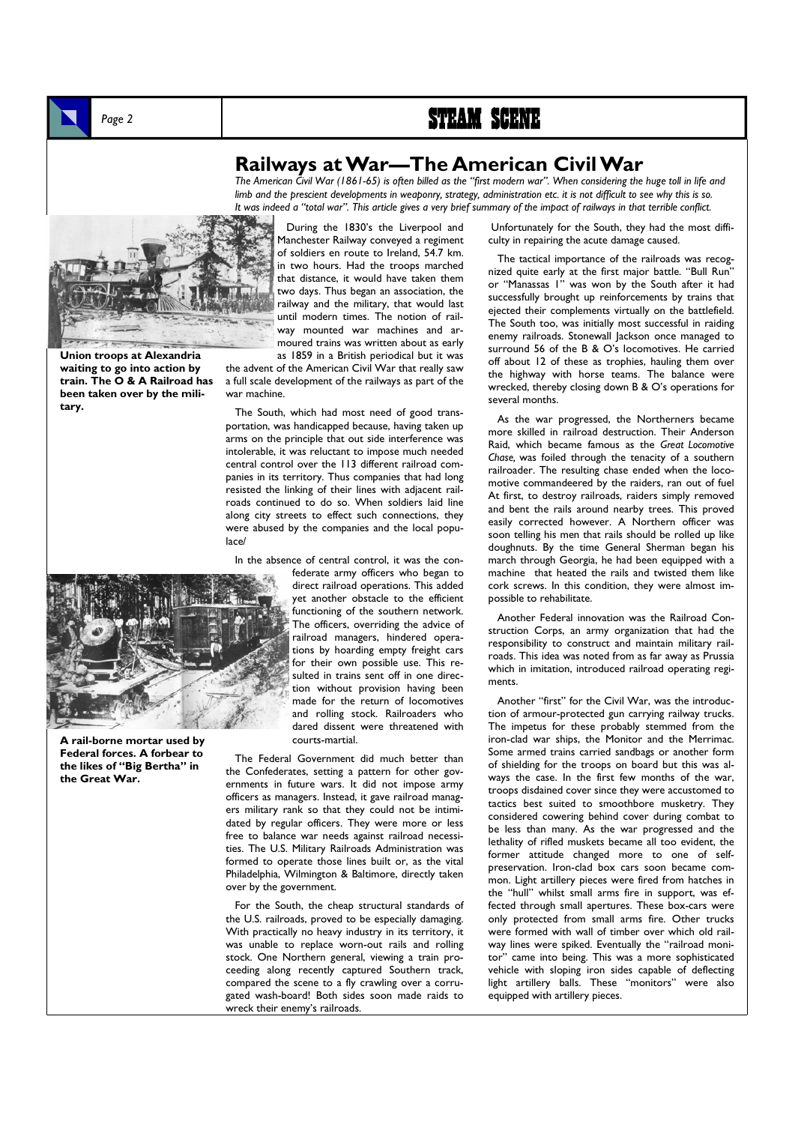# Page 2 **STEAM SCENE**



**Union troops at Alexandria waiting to go into action by train. The O & A Railroad has been taken over by the military.** 

### **Railways at War—The American Civil War**

*The American Civil War (1861-65) is often billed as the "first modern war". When considering the huge toll in life and limb and the prescient developments in weaponry, strategy, administration etc. it is not difficult to see why this is so. It was indeed a "total war". This article gives a very brief summary of the impact of railways in that terrible conflict.* 

 During the 1830's the Liverpool and Manchester Railway conveyed a regiment of soldiers en route to Ireland, 54.7 km. in two hours. Had the troops marched that distance, it would have taken them two days. Thus began an association, the railway and the military, that would last until modern times. The notion of railway mounted war machines and armoured trains was written about as early as 1859 in a British periodical but it was

the advent of the American Civil War that really saw a full scale development of the railways as part of the war machine.

 The South, which had most need of good transportation, was handicapped because, having taken up arms on the principle that out side interference was intolerable, it was reluctant to impose much needed central control over the 113 different railroad companies in its territory. Thus companies that had long resisted the linking of their lines with adjacent railroads continued to do so. When soldiers laid line along city streets to effect such connections, they were abused by the companies and the local populace/

In the absence of central control, it was the con-

federate army officers who began to direct railroad operations. This added yet another obstacle to the efficient functioning of the southern network. The officers, overriding the advice of railroad managers, hindered operations by hoarding empty freight cars for their own possible use. This resulted in trains sent off in one direction without provision having been made for the return of locomotives and rolling stock. Railroaders who dared dissent were threatened with courts-martial.

 The Federal Government did much better than the Confederates, setting a pattern for other governments in future wars. It did not impose army officers as managers. Instead, it gave railroad managers military rank so that they could not be intimidated by regular officers. They were more or less free to balance war needs against railroad necessities. The U.S. Military Railroads Administration was formed to operate those lines built or, as the vital Philadelphia, Wilmington & Baltimore, directly taken over by the government.

 For the South, the cheap structural standards of the U.S. railroads, proved to be especially damaging. With practically no heavy industry in its territory, it was unable to replace worn-out rails and rolling stock. One Northern general, viewing a train proceeding along recently captured Southern track, compared the scene to a fly crawling over a corrugated wash-board! Both sides soon made raids to wreck their enemy's railroads.

 Unfortunately for the South, they had the most difficulty in repairing the acute damage caused.

 The tactical importance of the railroads was recognized quite early at the first major battle. "Bull Run" or "Manassas 1" was won by the South after it had successfully brought up reinforcements by trains that ejected their complements virtually on the battlefield. The South too, was initially most successful in raiding enemy railroads. Stonewall Jackson once managed to surround 56 of the B & O's locomotives. He carried off about 12 of these as trophies, hauling them over the highway with horse teams. The balance were wrecked, thereby closing down B & O's operations for several months.

 As the war progressed, the Northerners became more skilled in railroad destruction. Their Anderson Raid, which became famous as the *Great Locomotive Chase,* was foiled through the tenacity of a southern railroader. The resulting chase ended when the locomotive commandeered by the raiders, ran out of fuel At first, to destroy railroads, raiders simply removed and bent the rails around nearby trees. This proved easily corrected however. A Northern officer was soon telling his men that rails should be rolled up like doughnuts. By the time General Sherman began his march through Georgia, he had been equipped with a machine that heated the rails and twisted them like cork screws. In this condition, they were almost impossible to rehabilitate.

 Another Federal innovation was the Railroad Construction Corps, an army organization that had the responsibility to construct and maintain military railroads. This idea was noted from as far away as Prussia which in imitation, introduced railroad operating regiments.

 Another "first" for the Civil War, was the introduction of armour-protected gun carrying railway trucks. The impetus for these probably stemmed from the iron-clad war ships, the Monitor and the Merrimac. Some armed trains carried sandbags or another form of shielding for the troops on board but this was always the case. In the first few months of the war, troops disdained cover since they were accustomed to tactics best suited to smoothbore musketry. They considered cowering behind cover during combat to be less than many. As the war progressed and the lethality of rifled muskets became all too evident, the former attitude changed more to one of selfpreservation. Iron-clad box cars soon became common. Light artillery pieces were fired from hatches in the "hull" whilst small arms fire in support, was effected through small apertures. These box-cars were only protected from small arms fire. Other trucks were formed with wall of timber over which old railway lines were spiked. Eventually the "railroad monitor" came into being. This was a more sophisticated vehicle with sloping iron sides capable of deflecting light artillery balls. These "monitors" were also equipped with artillery pieces.



**A rail-borne mortar used by Federal forces. A forbear to the likes of "Big Bertha" in the Great War.**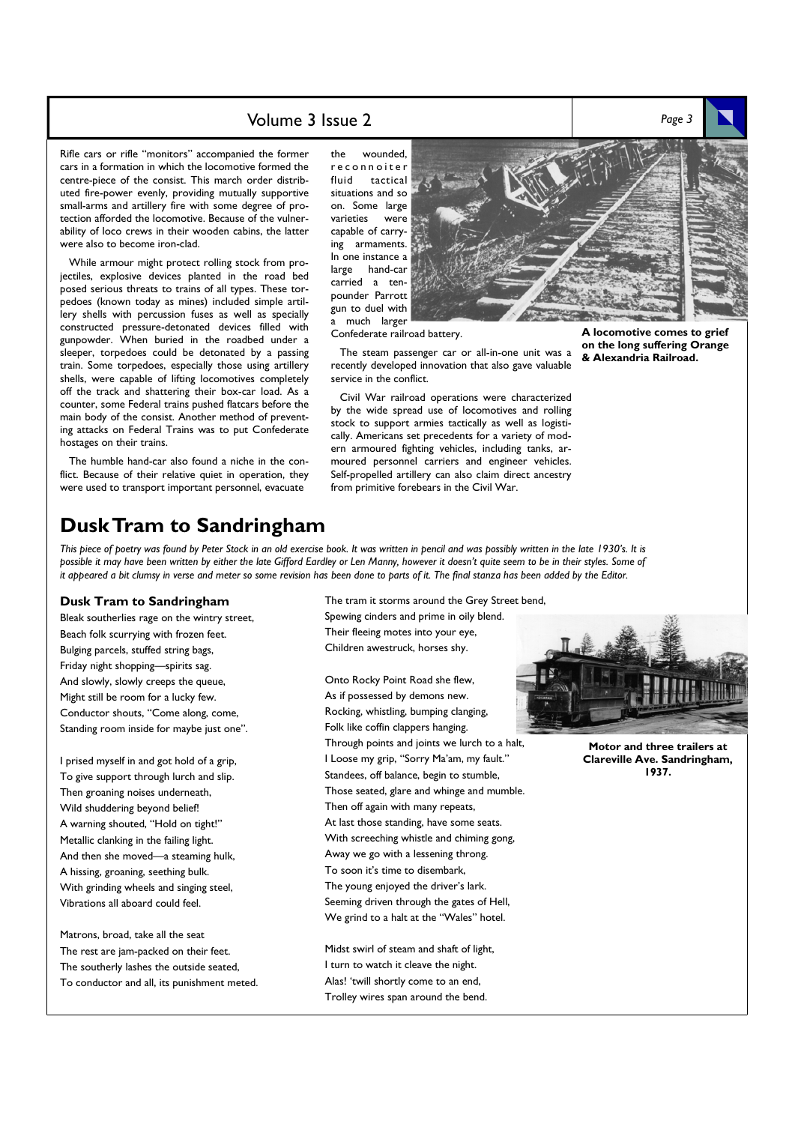### Volume 3 Issue 2 *Page 3*

Rifle cars or rifle "monitors" accompanied the former cars in a formation in which the locomotive formed the centre-piece of the consist. This march order distributed fire-power evenly, providing mutually supportive small-arms and artillery fire with some degree of protection afforded the locomotive. Because of the vulnerability of loco crews in their wooden cabins, the latter were also to become iron-clad.

 While armour might protect rolling stock from projectiles, explosive devices planted in the road bed posed serious threats to trains of all types. These torpedoes (known today as mines) included simple artillery shells with percussion fuses as well as specially constructed pressure-detonated devices filled with gunpowder. When buried in the roadbed under a sleeper, torpedoes could be detonated by a passing train. Some torpedoes, especially those using artillery shells, were capable of lifting locomotives completely off the track and shattering their box-car load. As a counter, some Federal trains pushed flatcars before the main body of the consist. Another method of preventing attacks on Federal Trains was to put Confederate hostages on their trains.

 The humble hand-car also found a niche in the conflict. Because of their relative quiet in operation, they were used to transport important personnel, evacuate

the wounded, r e c o n n o i t e r fluid tactical situations and so on. Some large varieties were capable of carrying armaments. In one instance a<br>large hand-car hand-car carried a tenpounder Parrott gun to duel with much larger



Confederate railroad battery.

 The steam passenger car or all-in-one unit was a recently developed innovation that also gave valuable service in the conflict.

 Civil War railroad operations were characterized by the wide spread use of locomotives and rolling stock to support armies tactically as well as logistically. Americans set precedents for a variety of modern armoured fighting vehicles, including tanks, armoured personnel carriers and engineer vehicles. Self-propelled artillery can also claim direct ancestry from primitive forebears in the Civil War.

**A locomotive comes to grief on the long suffering Orange & Alexandria Railroad.** 

## **Dusk Tram to Sandringham**

*This piece of poetry was found by Peter Stock in an old exercise book. It was written in pencil and was possibly written in the late 1930's. It is possible it may have been written by either the late Gifford Eardley or Len Manny, however it doesn't quite seem to be in their styles. Some of it appeared a bit clumsy in verse and meter so some revision has been done to parts of it. The final stanza has been added by the Editor.* 

#### **Dusk Tram to Sandringham**

Bleak southerlies rage on the wintry street, Beach folk scurrying with frozen feet. Bulging parcels, stuffed string bags, Friday night shopping—spirits sag. And slowly, slowly creeps the queue, Might still be room for a lucky few. Conductor shouts, "Come along, come, Standing room inside for maybe just one".

I prised myself in and got hold of a grip, To give support through lurch and slip. Then groaning noises underneath, Wild shuddering beyond belief! A warning shouted, "Hold on tight!" Metallic clanking in the failing light. And then she moved—a steaming hulk, A hissing, groaning, seething bulk. With grinding wheels and singing steel, Vibrations all aboard could feel.

Matrons, broad, take all the seat The rest are jam-packed on their feet. The southerly lashes the outside seated, To conductor and all, its punishment meted. The tram it storms around the Grey Street bend, Spewing cinders and prime in oily blend. Their fleeing motes into your eye, Children awestruck, horses shy.

Onto Rocky Point Road she flew, As if possessed by demons new. Rocking, whistling, bumping clanging, Folk like coffin clappers hanging. Through points and joints we lurch to a halt, I Loose my grip, "Sorry Ma'am, my fault." Standees, off balance, begin to stumble, Those seated, glare and whinge and mumble. Then off again with many repeats, At last those standing, have some seats. With screeching whistle and chiming gong, Away we go with a lessening throng. To soon it's time to disembark, The young enjoyed the driver's lark. Seeming driven through the gates of Hell, We grind to a halt at the "Wales" hotel.

Midst swirl of steam and shaft of light, I turn to watch it cleave the night. Alas! 'twill shortly come to an end, Trolley wires span around the bend.



**Motor and three trailers at Clareville Ave. Sandringham, 1937.**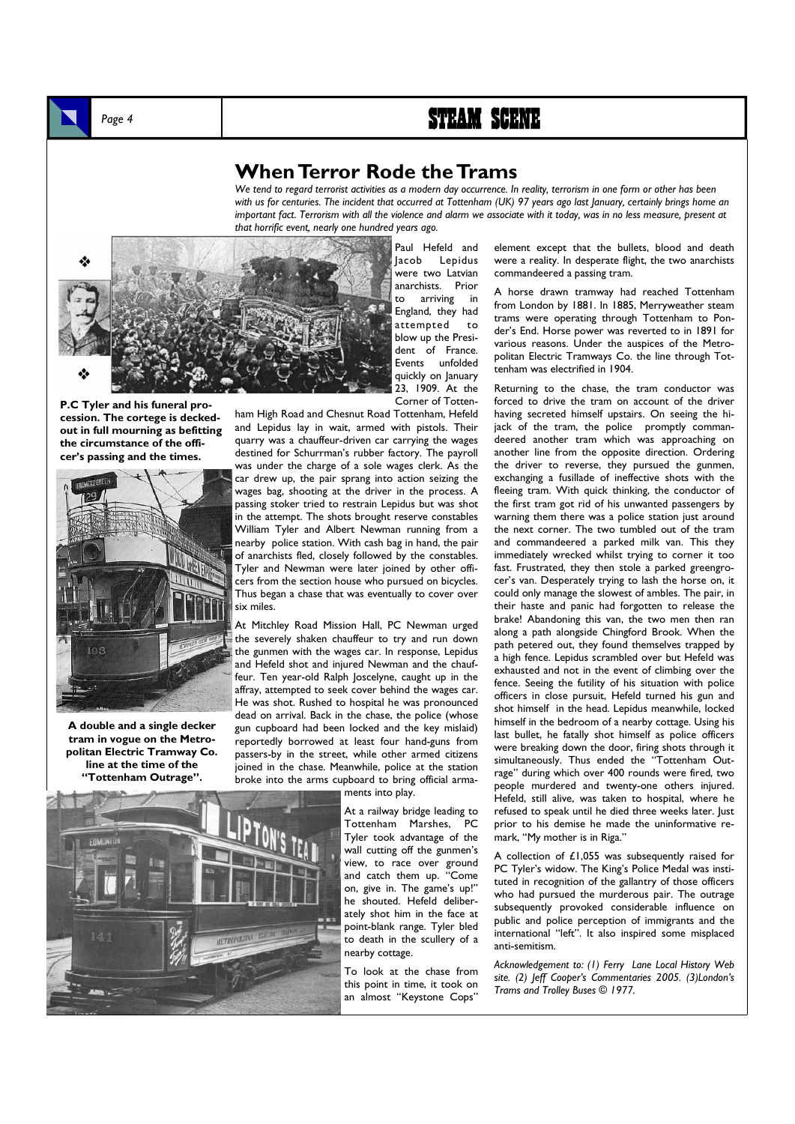### **When Terror Rode the Trams**

*We tend to regard terrorist activities as a modern day occurrence. In reality, terrorism in one form or other has been with us for centuries. The incident that occurred at Tottenham (UK) 97 years ago last January, certainly brings home an important fact. Terrorism with all the violence and alarm we associate with it today, was in no less measure, present at that horrific event, nearly one hundred years ago.* 



**P.C Tyler and his funeral procession. The cortege is deckedout in full mourning as befitting the circumstance of the officer's passing and the times.** 



**A double and a single decker tram in vogue on the Metropolitan Electric Tramway Co. line at the time of the "Tottenham Outrage".** 

Jacob Lepidus were two Latvian anarchists. Prior to arriving in England, they had attempted to blow up the President of France. Events unfolded quickly on January 23, 1909. At the Corner of Totten-

Paul Hefeld and

ham High Road and Chesnut Road Tottenham, Hefeld and Lepidus lay in wait, armed with pistols. Their quarry was a chauffeur-driven car carrying the wages destined for Schurrman's rubber factory. The payroll was under the charge of a sole wages clerk. As the car drew up, the pair sprang into action seizing the wages bag, shooting at the driver in the process. A passing stoker tried to restrain Lepidus but was shot in the attempt. The shots brought reserve constables William Tyler and Albert Newman running from a nearby police station. With cash bag in hand, the pair of anarchists fled, closely followed by the constables. Tyler and Newman were later joined by other officers from the section house who pursued on bicycles. Thus began a chase that was eventually to cover over six miles.

At Mitchley Road Mission Hall, PC Newman urged the severely shaken chauffeur to try and run down the gunmen with the wages car. In response, Lepidus and Hefeld shot and injured Newman and the chauffeur. Ten year-old Ralph Joscelyne, caught up in the affray, attempted to seek cover behind the wages car. He was shot. Rushed to hospital he was pronounced dead on arrival. Back in the chase, the police (whose gun cupboard had been locked and the key mislaid) reportedly borrowed at least four hand-guns from passers-by in the street, while other armed citizens joined in the chase. Meanwhile, police at the station broke into the arms cupboard to bring official arma-

ments into play.

At a railway bridge leading to Tottenham Marshes, PC Tyler took advantage of the wall cutting off the gunmen's view, to race over ground and catch them up. "Come on, give in. The game's up!" he shouted. Hefeld deliberately shot him in the face at point-blank range. Tyler bled to death in the scullery of a nearby cottage.

To look at the chase from this point in time, it took on an almost "Keystone Cops"

element except that the bullets, blood and death were a reality. In desperate flight, the two anarchists commandeered a passing tram.

A horse drawn tramway had reached Tottenham from London by 1881. In 1885, Merryweather steam trams were operating through Tottenham to Ponder's End. Horse power was reverted to in 1891 for various reasons. Under the auspices of the Metropolitan Electric Tramways Co. the line through Tottenham was electrified in 1904.

Returning to the chase, the tram conductor was forced to drive the tram on account of the driver having secreted himself upstairs. On seeing the hijack of the tram, the police promptly commandeered another tram which was approaching on another line from the opposite direction. Ordering the driver to reverse, they pursued the gunmen, exchanging a fusillade of ineffective shots with the fleeing tram. With quick thinking, the conductor of the first tram got rid of his unwanted passengers by warning them there was a police station just around the next corner. The two tumbled out of the tram and commandeered a parked milk van. This they immediately wrecked whilst trying to corner it too fast. Frustrated, they then stole a parked greengrocer's van. Desperately trying to lash the horse on, it could only manage the slowest of ambles. The pair, in their haste and panic had forgotten to release the brake! Abandoning this van, the two men then ran along a path alongside Chingford Brook. When the path petered out, they found themselves trapped by a high fence. Lepidus scrambled over but Hefeld was exhausted and not in the event of climbing over the fence. Seeing the futility of his situation with police officers in close pursuit, Hefeld turned his gun and shot himself in the head. Lepidus meanwhile, locked himself in the bedroom of a nearby cottage. Using his last bullet, he fatally shot himself as police officers were breaking down the door, firing shots through it simultaneously. Thus ended the "Tottenham Outrage" during which over 400 rounds were fired, two people murdered and twenty-one others injured. Hefeld, still alive, was taken to hospital, where he refused to speak until he died three weeks later. Just prior to his demise he made the uninformative remark, "My mother is in Riga."

A collection of  $£1,055$  was subsequently raised for PC Tyler's widow. The King's Police Medal was instituted in recognition of the gallantry of those officers who had pursued the murderous pair. The outrage subsequently provoked considerable influence on public and police perception of immigrants and the international "left". It also inspired some misplaced anti-semitism.

*Acknowledgement to: (1) Ferry Lane Local History Web site. (2) Jeff Cooper's Commentaries 2005. (3)London's Trams and Trolley Buses © 1977.*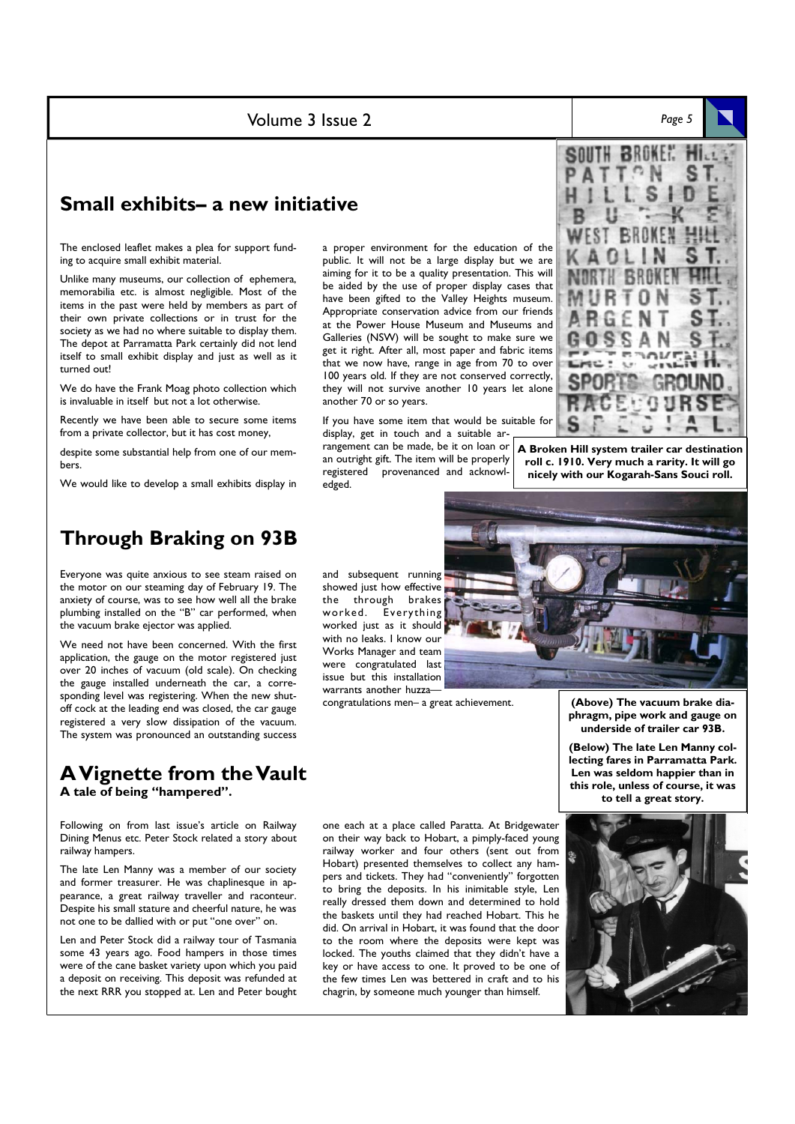Volume 3 Issue 2 *Page 5* 

### **Small exhibits– a new initiative**

The enclosed leaflet makes a plea for support funding to acquire small exhibit material.

Unlike many museums, our collection of ephemera, memorabilia etc. is almost negligible. Most of the items in the past were held by members as part of their own private collections or in trust for the society as we had no where suitable to display them. The depot at Parramatta Park certainly did not lend itself to small exhibit display and just as well as it turned out!

We do have the Frank Moag photo collection which is invaluable in itself but not a lot otherwise.

Recently we have been able to secure some items from a private collector, but it has cost money,

despite some substantial help from one of our members.

We would like to develop a small exhibits display in

### **Through Braking on 93B**

Everyone was quite anxious to see steam raised on the motor on our steaming day of February 19. The anxiety of course, was to see how well all the brake plumbing installed on the "B" car performed, when the vacuum brake ejector was applied.

We need not have been concerned. With the first application, the gauge on the motor registered just over 20 inches of vacuum (old scale). On checking the gauge installed underneath the car, a corresponding level was registering. When the new shutoff cock at the leading end was closed, the car gauge registered a very slow dissipation of the vacuum. The system was pronounced an outstanding success

### **A Vignette from the Vault A tale of being "hampered".**

Following on from last issue's article on Railway Dining Menus etc. Peter Stock related a story about railway hampers.

The late Len Manny was a member of our society and former treasurer. He was chaplinesque in appearance, a great railway traveller and raconteur. Despite his small stature and cheerful nature, he was not one to be dallied with or put "one over" on.

Len and Peter Stock did a railway tour of Tasmania some 43 years ago. Food hampers in those times were of the cane basket variety upon which you paid a deposit on receiving. This deposit was refunded at the next RRR you stopped at. Len and Peter bought a proper environment for the education of the public. It will not be a large display but we are aiming for it to be a quality presentation. This will be aided by the use of proper display cases that have been gifted to the Valley Heights museum. Appropriate conservation advice from our friends at the Power House Museum and Museums and Galleries (NSW) will be sought to make sure we get it right. After all, most paper and fabric items that we now have, range in age from 70 to over 100 years old. If they are not conserved correctly, they will not survive another 10 years let alone another 70 or so years.

If you have some item that would be suitable for display, get in touch and a suitable ar-

rangement can be made, be it on loan or an outright gift. The item will be properly<br>registered provenanced and acknowlprovenanced and acknowledged.

**BROKEN** 

**A Broken Hill system trailer car destination roll c. 1910. Very much a rarity. It will go nicely with our Kogarah-Sans Souci roll.** 



congratulations men– a great achievement.



**(Above) The vacuum brake diaphragm, pipe work and gauge on underside of trailer car 93B.** 

**(Below) The late Len Manny collecting fares in Parramatta Park. Len was seldom happier than in this role, unless of course, it was to tell a great story.** 

one each at a place called Paratta. At Bridgewater on their way back to Hobart, a pimply-faced young railway worker and four others (sent out from Hobart) presented themselves to collect any hampers and tickets. They had "conveniently" forgotten to bring the deposits. In his inimitable style, Len really dressed them down and determined to hold the baskets until they had reached Hobart. This he did. On arrival in Hobart, it was found that the door to the room where the deposits were kept was locked. The youths claimed that they didn't have a key or have access to one. It proved to be one of the few times Len was bettered in craft and to his chagrin, by someone much younger than himself.